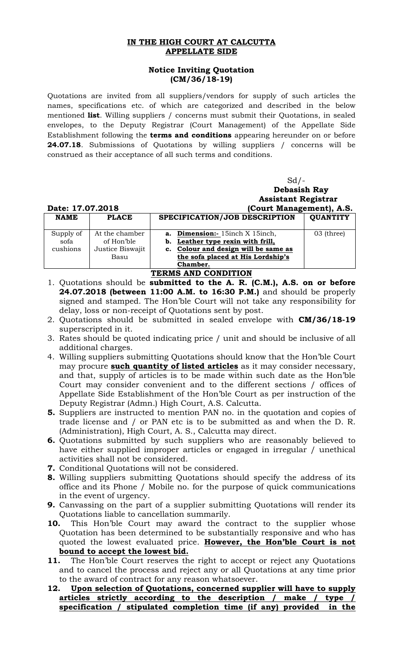## **IN THE HIGH COURT AT CALCUTTA APPELLATE SIDE**

## **Notice Inviting Quotation (CM/36/18-19)**

Quotations are invited from all suppliers/vendors for supply of such articles the names, specifications etc. of which are categorized and described in the below mentioned **list**. Willing suppliers / concerns must submit their Quotations, in sealed envelopes, to the Deputy Registrar (Court Management) of the Appellate Side Establishment following the **terms and conditions** appearing hereunder on or before **24.07.18**. Submissions of Quotations by willing suppliers / concerns will be construed as their acceptance of all such terms and conditions.

|                     |                  | $Sd$ /-<br><b>Debasish Ray</b><br><b>Assistant Registrar</b> |                 |
|---------------------|------------------|--------------------------------------------------------------|-----------------|
| Date: 17.07.2018    |                  | (Court Management), A.S.                                     |                 |
| <b>NAME</b>         | <b>PLACE</b>     | SPECIFICATION/JOB DESCRIPTION                                | <b>QUANTITY</b> |
|                     |                  |                                                              |                 |
| Supply of           | At the chamber   | <b>a.</b> Dimension: 15inch X 15inch,                        | 03 (three)      |
| sofa                | of Hon'ble       | Leather type rexin with frill,<br>b.                         |                 |
| cushions            | Justice Biswajit | c. Colour and design will be same as                         |                 |
|                     | Basu             | the sofa placed at His Lordship's                            |                 |
|                     |                  | Chamber.                                                     |                 |
| TERMS AND CONDITION |                  |                                                              |                 |

- 1. Quotations should be **submitted to the A. R. (C.M.), A.S. on or before 24.07.2018 (between 11:00 A.M. to 16:30 P.M.)** and should be properly signed and stamped. The Hon'ble Court will not take any responsibility for delay, loss or non-receipt of Quotations sent by post.
- 2. Quotations should be submitted in sealed envelope with **CM/36/18-19**  superscripted in it.
- 3. Rates should be quoted indicating price / unit and should be inclusive of all additional charges.
- 4. Willing suppliers submitting Quotations should know that the Hon'ble Court may procure **such quantity of listed articles** as it may consider necessary, and that, supply of articles is to be made within such date as the Hon'ble Court may consider convenient and to the different sections / offices of Appellate Side Establishment of the Hon'ble Court as per instruction of the Deputy Registrar (Admn.) High Court, A.S. Calcutta.
- **5.** Suppliers are instructed to mention PAN no. in the quotation and copies of trade license and / or PAN etc is to be submitted as and when the D. R. (Administration), High Court, A. S., Calcutta may direct.
- **6.** Quotations submitted by such suppliers who are reasonably believed to have either supplied improper articles or engaged in irregular / unethical activities shall not be considered.
- **7.** Conditional Quotations will not be considered.
- **8.** Willing suppliers submitting Quotations should specify the address of its office and its Phone / Mobile no. for the purpose of quick communications in the event of urgency.
- **9.** Canvassing on the part of a supplier submitting Quotations will render its Quotations liable to cancellation summarily.
- **10.** This Hon'ble Court may award the contract to the supplier whose Quotation has been determined to be substantially responsive and who has quoted the lowest evaluated price. **However, the Hon'ble Court is not bound to accept the lowest bid.**
- **11.** The Hon'ble Court reserves the right to accept or reject any Quotations and to cancel the process and reject any or all Quotations at any time prior to the award of contract for any reason whatsoever.
- **12. Upon selection of Quotations, concerned supplier will have to supply articles strictly according to the description / make / type / specification / stipulated completion time (if any) provided in the**